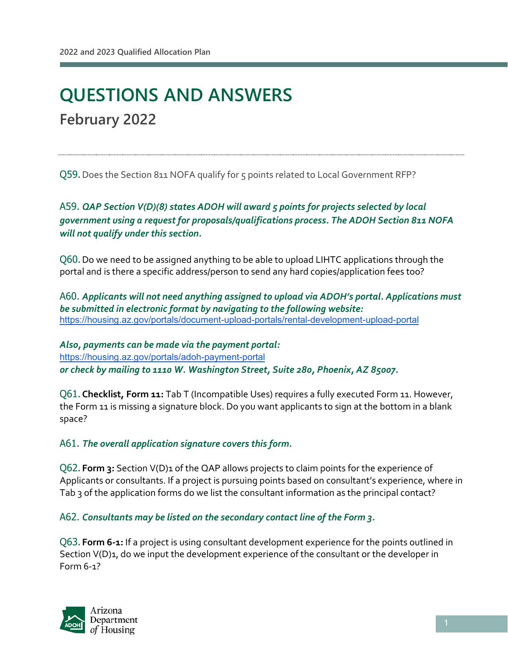l

# **QUESTIONS AND ANSWERS February 2022**

Q59.Does the Section 811 NOFA qualify for 5 points related to Local Government RFP?

A59. *QAP Section V(D)(8) states ADOH will award 5 points for projects selected by local government using a request for proposals/qualifications process. The ADOH Section 811 NOFA will not qualify under this section.* 

Q60. Do we need to be assigned anything to be able to upload LIHTC applications through the portal and is there a specific address/person to send any hard copies/application fees too?

A60. *Applicants will not need anything assigned to upload via ADOH's portal. Applications must be submitted in electronic format by navigating to the following website:* <https://housing.az.gov/portals/document-upload-portals/rental-development-upload-portal>

*Also, payments can be made via the payment portal:*  <https://housing.az.gov/portals/adoh-payment-portal> *or check by mailing to 1110 W. Washington Street, Suite 280, Phoenix, AZ 85007.* 

Q61.**Checklist, Form 11:** Tab T (Incompatible Uses) requires a fully executed Form 11. However, the Form 11 is missing a signature block. Do you want applicants to sign at the bottom in a blank space?

#### A61. *The overall application signature covers this form.*

Q62. **Form 3:** Section V(D)1 of the QAP allows projects to claim points for the experience of Applicants or consultants. If a project is pursuing points based on consultant's experience, where in Tab 3 of the application forms do we list the consultant information as the principal contact?

A62. *Consultants may be listed on the secondary contact line of the Form 3.* 

Q63. **Form 6-1:** If a project is using consultant development experience for the points outlined in Section V(D)<sub>1</sub>, do we input the development experience of the consultant or the developer in Form 6-1?

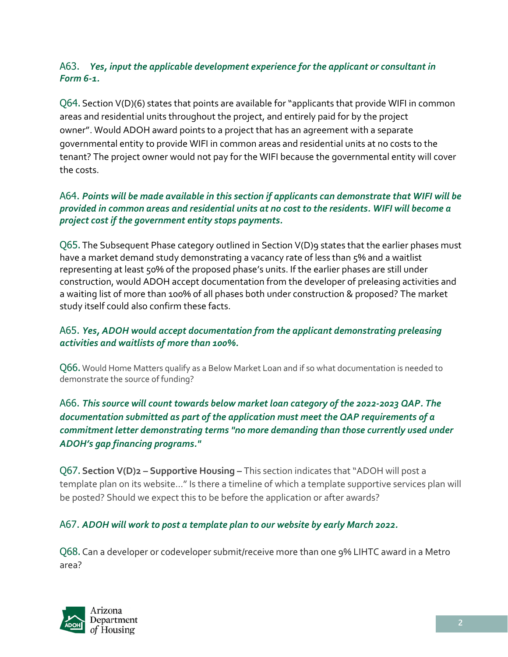#### A63. *Yes, input the applicable development experience for the applicant or consultant in Form 6-1.*

Q64.Section V(D)(6) states that points are available for "applicants that provide WIFI in common areas and residential units throughout the project, and entirely paid for by the project owner". Would ADOH award points to a project that has an agreement with a separate governmental entity to provide WIFI in common areas and residential units at no costs to the tenant? The project owner would not pay for the WIFI because the governmental entity will cover the costs.

#### A64. *Points will be made available in this section if applicants can demonstrate that WIFI will be provided in common areas and residential units at no cost to the residents. WIFI will become a project cost if the government entity stops payments.*

Q65. The Subsequent Phase category outlined in Section V(D)9 states that the earlier phases must have a market demand study demonstrating a vacancy rate of less than 5% and a waitlist representing at least 50% of the proposed phase's units. If the earlier phases are still under construction, would ADOH accept documentation from the developer of preleasing activities and a waiting list of more than 100% of all phases both under construction & proposed? The market study itself could also confirm these facts.

#### A65. *Yes, ADOH would accept documentation from the applicant demonstrating preleasing activities and waitlists of more than 100%.*

Q66. Would Home Matters qualify as a Below Market Loan and if so what documentation is needed to demonstrate the source of funding?

#### A66. *This source will count towards below market loan category of the 2022-2023 QAP. The documentation submitted as part of the application must meet the QAP requirements of a commitment letter demonstrating terms "no more demanding than those currently used under ADOH's gap financing programs."*

Q67.**Section V(D)2 – Supportive Housing –** This section indicates that "ADOH will post a template plan on its website…" Is there a timeline of which a template supportive services plan will be posted? Should we expect this to be before the application or after awards?

#### A67. *ADOH will work to post a template plan to our website by early March 2022.*

Q68.Can a developer or codeveloper submit/receive more than one 9% LIHTC award in a Metro area?

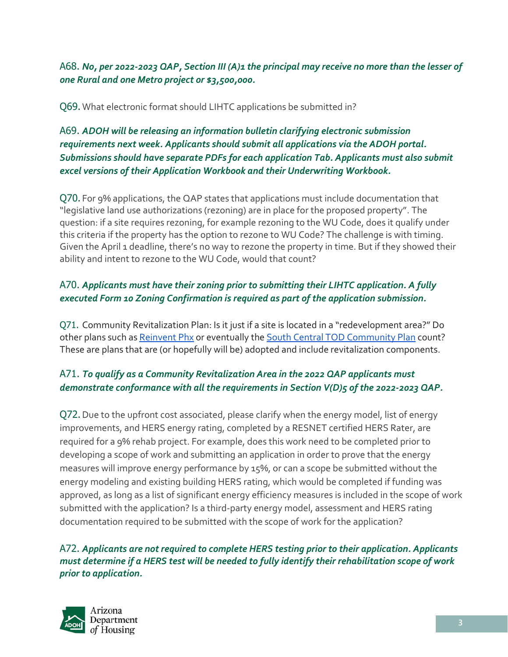A68. *No, per 2022-2023 QAP, Section III (A)1 the principal may receive no more than the lesser of one Rural and one Metro project or \$3,500,000.*

Q69.What electronic format should LIHTC applications be submitted in?

A69. *ADOH will be releasing an information bulletin clarifying electronic submission requirements next week. Applicants should submit all applications via the ADOH portal. Submissions should have separate PDFs for each application Tab. Applicants must also submit excel versions of their Application Workbook and their Underwriting Workbook.* 

Q70. For 9% applications, the QAP states that applications must include documentation that "legislative land use authorizations (rezoning) are in place for the proposed property". The question: if a site requires rezoning, for example rezoning to the WU Code, does it qualify under this criteria if the property has the option to rezone to WU Code? The challenge is with timing. Given the April 1 deadline, there's no way to rezone the property in time. But if they showed their ability and intent to rezone to the WU Code, would that count?

# A70. *Applicants must have their zoning prior to submitting their LIHTC application. A fully executed Form 10 Zoning Confirmation is required as part of the application submission.*

Q71. Community Revitalization Plan: Is it just if a site is located in a "redevelopment area?" Do other plans such as [Reinvent Phx](https://www.phoenix.gov/pdd/reinvent-phx) or eventually the [South Central TOD Community Plan](https://www.phoenix.gov/pdd/tod/south-central) count? These are plans that are (or hopefully will be) adopted and include revitalization components.

## A71. *To qualify as a Community Revitalization Area in the 2022 QAP applicants must demonstrate conformance with all the requirements in Section V(D)5 of the 2022-2023 QAP.*

Q72.Due to the upfront cost associated, please clarify when the energy model, list of energy improvements, and HERS energy rating, completed by a RESNET certified HERS Rater, are required for a 9% rehab project. For example, does this work need to be completed prior to developing a scope of work and submitting an application in order to prove that the energy measures will improve energy performance by 15%, or can a scope be submitted without the energy modeling and existing building HERS rating, which would be completed if funding was approved, as long as a list of significant energy efficiency measures is included in the scope of work submitted with the application? Is a third-party energy model, assessment and HERS rating documentation required to be submitted with the scope of work for the application?

A72. *Applicants are not required to complete HERS testing prior to their application. Applicants must determine if a HERS test will be needed to fully identify their rehabilitation scope of work prior to application.*